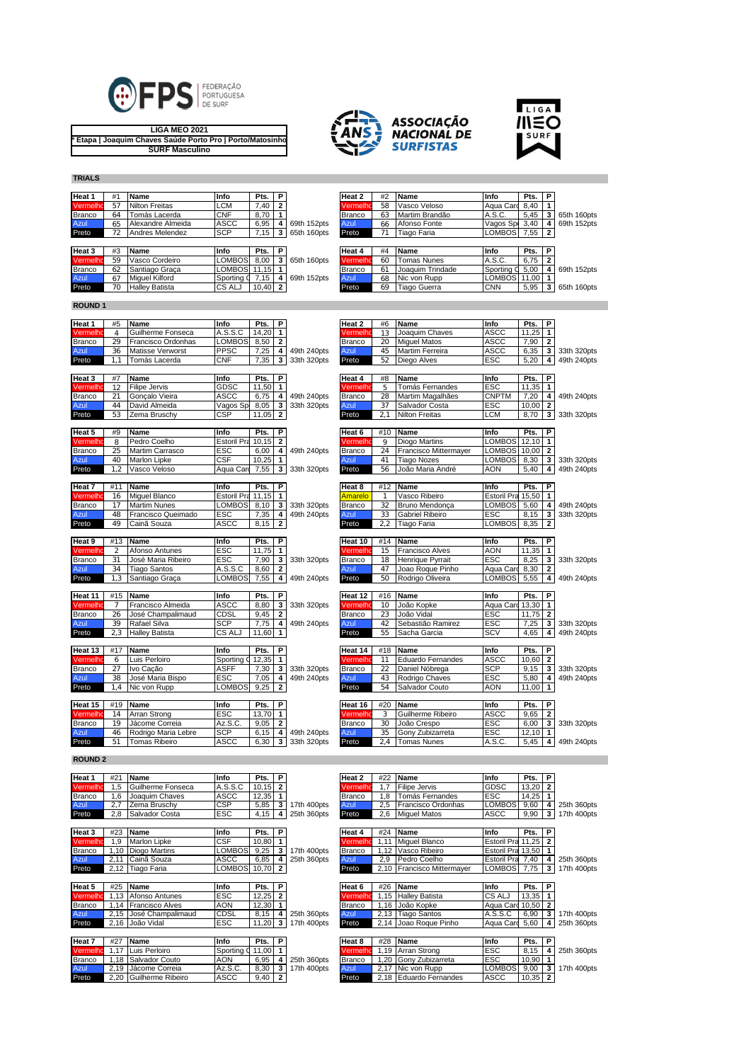

**LIGA MEO 2021 3ª Etapa | Joaquim Chaves Saúde Porto Pro | Porto/Matosinhos SURF Masculino**





**TRIALS**

| Heat 1        | #1 | <b>Name</b>           | Info                | Pts.      | <b>P</b> |             | Heat 2        | #2 | Name               | Info          | Pts.  | P |             |
|---------------|----|-----------------------|---------------------|-----------|----------|-------------|---------------|----|--------------------|---------------|-------|---|-------------|
| Vermelho      | 57 | <b>Nilton Freitas</b> | LCM                 | $7,40$ 2  |          |             | Vermelho      | 58 | Vasco Veloso       | Agua Card     | 8,40  |   |             |
| <b>Branco</b> | 64 | Tomás Lacerda         | <b>CNF</b>          | 8,70      |          |             | <b>Branco</b> | 63 | Martim Brandão     | A.S.C.        | 5,45  |   | 65th 160pts |
| Azul          | 65 | Alexandre Almeida     | <b>ASCC</b>         | 6,95      |          | 69th 152pts | Azul          | 66 | Afonso Fonte       | Vagos Sp      | 3,40  |   | 69th 152pts |
| Preto         |    | Andres Melendez       | <b>SCP</b>          | 7,15      | -3       | 65th 160pts | Preto         |    | Tiago Faria        | <b>LOMBOS</b> | 7,55  |   |             |
|               |    |                       |                     |           |          |             |               |    |                    |               |       |   |             |
| Heat 3        | #3 | <b>Name</b>           | Info                | Pts. I    | P        |             | Heat 4        | #4 | Name               | Info          | Pts.  | P |             |
| Vermelho      | 59 | Vasco Cordeiro        | <b>LOMBOS</b>       | 8.00      |          | 65th 160pts | Vermelho      | 60 | <b>Tomas Nunes</b> | A.S.C.        | 6,75  |   |             |
| <b>Branco</b> | 62 | Santiago Graca        | <b>LOMBOS</b> 11.15 |           |          |             | <b>Branco</b> | 61 | Joaquim Trindade   | Sporting O    | 5,00  |   | 69th 152pts |
| Azul          | 67 | <b>Miauel Kilford</b> | Sporting Q          | 7.15      | 4        | 69th 152pts | Azul          | 68 | Nic von Rupp       | <b>LOMBOS</b> | 11.00 |   |             |
| Preto         | 70 | <b>Halley Batista</b> | CS ALJ              | $10,40$ 2 |          |             | Preto         | 69 | Tiago Guerra       | <b>CNN</b>    | 5,95  |   | 65th 160pts |

| 'ermelhc   | 58 | Vasco Veloso        | Aqua Card     | 8.40  |              |             |
|------------|----|---------------------|---------------|-------|--------------|-------------|
| ranco      | 63 | Martim Brandão      | A.S.C.        | 5,45  | 3            | 65th 160pts |
| <b>zul</b> | 66 | Afonso Fonte        | Vagos Sp      | 3.40  | 4            | 69th 152pts |
| reto       | 71 | Tiago Faria         | <b>LOMBOS</b> | 7,55  | $\mathbf{2}$ |             |
|            |    |                     |               |       |              |             |
| leat 4     | #4 | Name                | Info          | Pts.  | Р            |             |
|            |    |                     |               |       |              |             |
| ermelhc    | 60 | <b>Tomas Nunes</b>  | A.S.C.        | 6.75  | $\mathbf{2}$ |             |
| ranco      | 61 | Joaquim Trindade    | Sporting C    | 5.00  | 4            | 69th 152pts |
| <b>zul</b> | 68 | Nic von Rupp        | <b>LOMBOS</b> | 11.00 | 1            |             |
| reto       | 69 | <b>Tiago Guerra</b> | <b>CNN</b>    | 5,95  | 3            | 65th 160pts |

## **ROUND 1**

| Heat 1              | #5             | Name                    | Info                    | Pts.          | P                       |             | Heat 2        | #6  | Name                            | Info               | Pts.  | P                 |             |
|---------------------|----------------|-------------------------|-------------------------|---------------|-------------------------|-------------|---------------|-----|---------------------------------|--------------------|-------|-------------------|-------------|
| Vermelho            | $\overline{4}$ | Guilherme Fonseca       | A.S.S.C                 | 14,20         | 1                       |             | Vermelh       | 13  | Joaquim Chaves                  | <b>ASCC</b>        | 11,25 | 1                 |             |
| <b>Branco</b>       | 29             | Francisco Ordonhas      | <b>LOMBOS</b>           | 8,50          | 2                       |             | Branco        | 20  | <b>Miquel Matos</b>             | <b>ASCC</b>        | 7,90  | $\overline{2}$    |             |
| Azul                | 36             | <b>Matisse Verworst</b> | <b>PPSC</b>             | 7,25          | 4                       | 49th 240pts | Azul          | 45  | Martim Ferreira                 | <b>ASCC</b>        | 6,35  | 3                 | 33th 320pts |
| Preto               | 1.1            | Tomás Lacerda           | <b>CNF</b>              | 7,35          | 3                       | 33th 320pts | Preto         | 52  | Diego Alves                     | <b>ESC</b>         | 5,20  | 4                 | 49th 240pts |
| Heat 3              | #7             | Name                    | Info                    | Pts.          | P                       |             | Heat 4        | #8  | Name                            | Info               | Pts.  | P                 |             |
| Vermelho            | 12             | <b>Filipe Jervis</b>    | GDSC                    | 11,50         | $\mathbf{1}$            |             | Vermelho      | 5   | Tomás Fernandes                 | ESC                | 11,35 | $\mathbf{1}$      |             |
| Branco              | 21             | Gonçalo Vieira          | ASCC                    | 6,75          | 4                       | 49th 240pts | Branco        | 28  | Martim Magalhães                | <b>CNPTM</b>       | 7,20  | 4                 | 49th 240pts |
| Azul                | 44             | David Almeida           | Vagos Sp                | 8.05          | 3                       | 33th 320pts | Azul          | 37  | Salvador Costa                  | <b>ESC</b>         | 10.00 | $\mathbf{2}$      |             |
| Preto               | 53             | Zema Bruschy            | CSP                     | 11,05         | $\overline{\mathbf{2}}$ |             | Preto         | 2.1 | <b>Nilton Freitas</b>           | LCM                | 8.70  | 3                 | 33th 320pts |
| Heat 5              | #9             | Name                    | Info                    | Pts.          | P                       |             | Heat 6        | #10 | Name                            | Info               | Pts.  | P                 |             |
| Vermelho            | 8              | Pedro Coelho            | <b>Estoril Pra</b>      | 10.15         | $\overline{\mathbf{2}}$ |             | Vermelho      | 9   | <b>Diogo Martins</b>            | <b>LOMBOS</b>      | 12,10 | $\overline{1}$    |             |
| Branco              | 25             | Martim Carrasco         | ESC                     | 6,00          | 4                       | 49th 240pts | Branco        | 24  | Francisco Mittermayer           | <b>LOMBOS</b>      | 10,00 | $\mathbf{2}$      |             |
| Azul                | 40             | <b>Marlon Lipke</b>     | $\overline{\text{CSF}}$ | 10,25         | $\mathbf 1$             |             | Azul          | 41  | <b>Tiago Nozes</b>              | <b>LOMBOS</b>      | 8,30  | 3                 | 33th 320pts |
| Preto               | 1.2            | Vasco Veloso            | Aqua Car                | 7,55          | 3                       | 33th 320pts | Preto         | 56  | João Maria André                | <b>AON</b>         | 5.40  | 4                 | 49th 240pts |
| Heat 7              | #11            | Name                    | Info                    | Pts.          | P                       |             | Heat 8        | #12 | Name                            | Info               | Pts.  | P                 |             |
| Vermelh             | 16             | Miquel Blanco           | <b>Estoril Pra</b>      | 11,15         | $\mathbf{1}$            |             | Amarelo       | 1   | Vasco Ribeiro                   | <b>Estoril Pra</b> | 15,50 | 1                 |             |
| Branco              | 17             | <b>Martim Nunes</b>     | LOMBOS                  | 8,10          | 3                       | 33th 320pts | <b>Branco</b> | 32  | Bruno Mendonca                  | <b>LOMBOS</b>      | 5,60  | 4                 | 49th 240pts |
| Azul                | 48             | Francisco Queimado      | ESC                     | 7,35          | 4                       | 49th 240pts | Azul          | 33  | <b>Gabriel Ribeiro</b>          | <b>ESC</b>         | 8,15  | 3                 | 33th 320pts |
| Preto               | 49             | Cainã Souza             | ASCC                    | 8,15          | $\mathbf{z}$            |             | Preto         | 2.2 | Tiago Faria                     | <b>LOMBOS</b>      | 8.35  | $\mathbf{2}$      |             |
| Heat 9              | #13            | <b>Name</b>             | Info                    | Pts.          | P                       |             | Heat 10       | #14 | <b>Name</b>                     | Info               | Pts.  | P                 |             |
| Vermelhı            | $\overline{2}$ | Afonso Antunes          | ESC                     | 11,75         | $\mathbf{1}$            |             | Vermelh       | 15  | <b>Francisco Alves</b>          | <b>AON</b>         | 11,35 | 1                 |             |
| Branco              | 31             | José Maria Ribeiro      | ESC                     | 7,90          | 3                       | 33th 320pts | Branco        | 18  | Henrique Pyrrait                | <b>ESC</b>         | 8,25  | 3                 | 33th 320pts |
| Azul                | 34             | <b>Tiago Santos</b>     | A.S.S.C                 | 8.60          | $\overline{2}$          |             | Azul          | 47  | Joao Roque Pinho                | Agua Card          | 8,30  | $\mathbf{2}$      |             |
| Preto               | 1.3            | Santiago Graça          | LOMBOS                  | 7,55          | 4                       | 49th 240pts | Preto         | 50  | Rodrigo Oliveira                | LOMBOS             | 5,55  | 4                 | 49th 240pts |
|                     | #15            | Name                    |                         | Pts.          |                         |             | Heat 12       | #16 | Name                            |                    | Pts.  |                   |             |
| Heat 11<br>Vermelho |                | Francisco Almeida       | Info<br><b>ASCC</b>     | 8,80          | P                       | 33th 320pts | Vermelh       | 10  | João Kopke                      | Info<br>Aqua Card  | 13,30 | P<br>$\mathbf{1}$ |             |
| Branco              | 26             | José Champalimaud       | CDSL                    | 9.45          | 3<br>$\overline{2}$     |             | Branco        | 23  | João Vidal                      | <b>ESC</b>         | 11.75 | $\mathbf{2}$      |             |
| Azul                | 39             | Rafael Silva            | <b>SCP</b>              | 7,75          | 4                       | 49th 240pts | Azul          | 42  | Sebastião Ramirez               | <b>ESC</b>         | 7,25  | 3                 | 33th 320pts |
| Preto               | 2.3            | <b>Halley Batista</b>   | CS ALJ                  | 11,60         | $\mathbf{1}$            |             | Preto         | 55  | Sacha Garcia                    | SCV                | 4,65  | 4                 | 49th 240pts |
|                     |                |                         |                         |               |                         |             |               |     |                                 |                    |       |                   |             |
| Heat 13             | #17            | Name                    | Info                    | Pts.          | P                       |             | Heat 14       | #18 | Name                            | Info               | Pts.  | P                 |             |
| Vermelho            | 6              | Luis Perloiro           | Sporting                | 12,35         | $\mathbf{1}$            |             | Vermelho      | 11  | <b>Eduardo Fernandes</b>        | <b>ASCC</b>        | 10,60 | $\overline{2}$    |             |
| Branco              |                | Ivo Cacão               | <b>ASFF</b>             | 7,30          | 3                       | 33th 320pts | <b>Branco</b> | 22  | Daniel Nóbrega                  | <b>SCP</b>         | 9,15  | 3                 | 33th 320pts |
| Azul                | 27             |                         |                         |               |                         |             |               |     |                                 |                    |       |                   | 49th 240pts |
|                     | 38             | José Maria Bispo        | ESC                     | 7,05          | 4                       | 49th 240pts | Azul          | 43  | Rodrigo Chaves                  | ESC                | 5,80  | 4                 |             |
| Preto               | 1.4            | Nic von Rupp            | LOMBOS                  | 9,25          | 2                       |             | Preto         | 54  | Salvador Couto                  | <b>AON</b>         | 11,00 | 1                 |             |
| Heat 15             | #19            | <b>Name</b>             | Info                    |               | P                       |             | Heat 16       | #20 | Name                            | Info               | Pts.  | P                 |             |
| Vermelho            | 14             | Arran Strong            | ESC                     | Pts.<br>13.70 | $\mathbf{1}$            |             | Vermelho      | 3   | Guilherme Ribeiro               | <b>ASCC</b>        | 9.65  | $\overline{2}$    |             |
| <b>Branco</b>       | 19             | Jácome Correia          | Az.S.C.                 | 9,05          | $\overline{2}$          |             | Branco        | 30  |                                 | <b>ESC</b>         | 6,00  | 3                 | 33th 320pts |
| Azul                | 46             | Rodrigo Maria Lebre     | <b>SCP</b>              | 6,15          | 4                       | 49th 240pts | Azul          | 35  | João Crespo<br>Gony Zubizarreta | ESC                | 12,10 | 1                 |             |

## **ROUND 2**

| Heat 1        | #21  | <b>Name</b>            | Info        | Pts.      | P |             | Heat 2        | #22  | Name                   | Info               | Pts.      | P            |             |
|---------------|------|------------------------|-------------|-----------|---|-------------|---------------|------|------------------------|--------------------|-----------|--------------|-------------|
| Vermelho      | 1.5  | Guilherme Fonseca      | A.S.S.C     | 10.15     | 2 |             | Vermelhc      | 1.7  | <b>Filipe Jervis</b>   | GDSC               | 13,20     |              |             |
| <b>Branco</b> | 1.6  | Joaquim Chaves         | ASCC        | 12,35     |   |             | Branco        | 1,8  | Tomás Fernandes        | <b>ESC</b>         | 14,25     |              |             |
| Azul          | 2,7  | Zema Bruschv           | <b>CSP</b>  | 5,85      | з | 17th 400pts | Azul          | 2,5  | Francisco Ordonhas     | LOMBOS             | 9,60      |              | 25th 360pts |
| Preto         | 2,8  | Salvador Costa         | <b>ESC</b>  | 4,15      | 4 | 25th 360pts | Preto         | 2,6  | <b>Miquel Matos</b>    | <b>ASCC</b>        | 9,90      | 3            | 17th 400pts |
|               |      |                        |             |           |   |             |               |      |                        |                    |           |              |             |
| Heat 3        | #23  | <b>Name</b>            | Info        | Pts.      | P |             | Heat 4        | #24  | Name                   | Info               | Pts.      | P            |             |
| Vermelho      | 1,9  | Marlon Lipke           | <b>CSF</b>  | 10,80     |   |             | Vermelho      | 1,11 | <b>Miquel Blanco</b>   | <b>Estoril Pra</b> | 11,25     |              |             |
| <b>Branco</b> | 1,10 | Diogo Martins          | LOMBOS      | 9,25      | 3 | 17th 400pts | Branco        | 1,12 | Vasco Ribeiro          | Estoril Pra 13,50  |           |              |             |
| Azul          | 2,11 | Cainã Souza            | ASCC        | 6,85      |   | 25th 360pts | Azul          | 2,9  | Pedro Coelho           | <b>Estoril Pra</b> | 7,40      |              | 25th 360pts |
| Preto         | 2,12 | Tiago Faria            | LOMBOS      | $10,70$ 2 |   |             | Preto         | 2,10 | Francisco Mittermayer  | LOMBOS             | 7,75      | $\mathbf{3}$ | 17th 400pts |
|               |      |                        |             |           |   |             |               |      |                        |                    |           |              |             |
| Heat 5        | #25  | <b>Name</b>            | Info        | Pts.      | P |             | Heat 6        | #26  | Name                   | Info               | Pts.      | P            |             |
| Vermelho      | 1.13 | Afonso Antunes         | <b>ESC</b>  | 12,25     |   |             | Vermelho      | 1.15 | <b>Halley Batista</b>  | CS ALJ             | 13,35     |              |             |
| <b>Branco</b> | 1.14 | <b>Francisco Alves</b> | <b>AON</b>  | 12,30     |   |             | Branco        | 1.16 | João Kopke             | Aqua Card          | 10,50     |              |             |
| Azul          | 2,15 | José Champalimaud      | <b>CDSL</b> | 8.15      |   | 25th 360pts | Azul          | 2,13 | <b>Tiago Santos</b>    | A.S.S.C            | 6,90      | 3            | 17th 400pts |
| Preto         | 2,16 | João Vidal             | <b>ESC</b>  | 11,20     | 3 | 17th 400pts | Preto         | 2,14 | Joao Roque Pinho       | Aqua Card          | 5,60      |              | 25th 360pts |
|               |      |                        |             |           |   |             |               |      |                        |                    |           |              |             |
| <b>Heat 7</b> | #27  | Name                   | Info        | Pts.      | P |             | Heat 8        | #28  | <b>Name</b>            | Info               | Pts.      | P            |             |
| Vermelho      | 1.17 | Luis Perloiro          | Sporting C  | 11,00     |   |             | Vermelho      | 1.19 | Arran Strong           | <b>ESC</b>         | 8,15      |              | 25th 360pts |
| Branco        | 1,18 | Salvador Couto         | <b>AON</b>  | 6,95      | 4 | 25th 360pts | <b>Branco</b> | 1.20 | Gony Zubizarreta       | <b>ESC</b>         | 10,90     |              |             |
| Azul          | 2,19 | Jácome Correia         | Az.S.C.     | 8,30      | 3 | 17th 400pts | Azul          | 2,17 | Nic von Rupp           | <b>LOMBOS</b>      | 9,00      | 3            | 17th 400pts |
| Preto         | 2.20 | Guilherme Ribeiro      | ASCC        | 9,40      | 2 |             | Preto         |      | 2.18 Eduardo Fernandes | <b>ASCC</b>        | $10,35$ 2 |              |             |